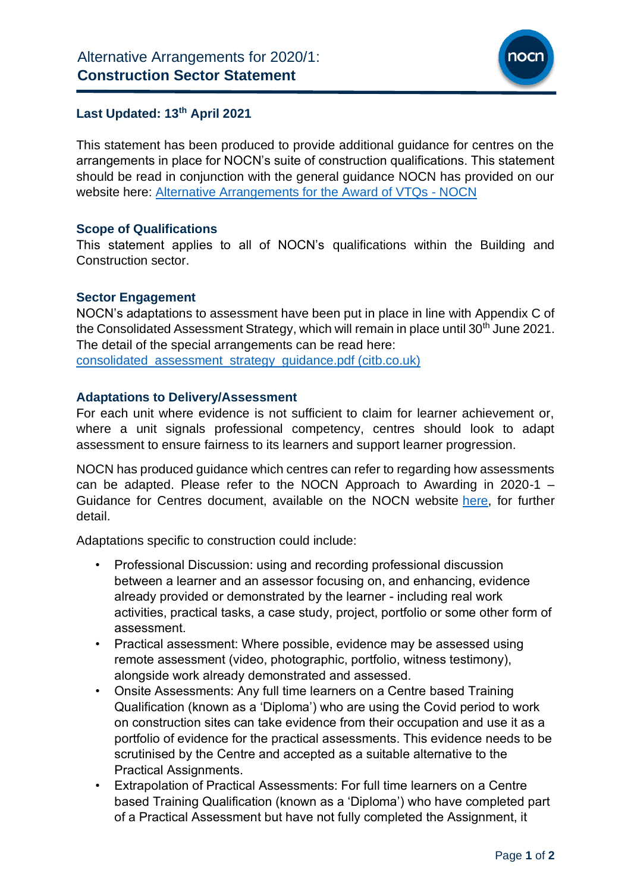

# **Last Updated: 13 th April 2021**

This statement has been produced to provide additional guidance for centres on the arrangements in place for NOCN's suite of construction qualifications. This statement should be read in conjunction with the general guidance NOCN has provided on our website here: [Alternative Arrangements for the Award of VTQs -](https://www.nocn.org.uk/centres/alternative-arrangements-for-the-award-of-vtqs-and-other-general-qualifications/) NOCN

# **Scope of Qualifications**

This statement applies to all of NOCN's qualifications within the Building and Construction sector.

#### **Sector Engagement**

NOCN's adaptations to assessment have been put in place in line with Appendix C of the Consolidated Assessment Strategy, which will remain in place until 30<sup>th</sup> June 2021. The detail of the special arrangements can be read here: [consolidated\\_assessment\\_strategy\\_guidance.pdf \(citb.co.uk\)](https://www.citb.co.uk/documents/coronavirus/consolidated_assessment_strategy_guidance.pdf)

#### **Adaptations to Delivery/Assessment**

For each unit where evidence is not sufficient to claim for learner achievement or, where a unit signals professional competency, centres should look to adapt assessment to ensure fairness to its learners and support learner progression.

NOCN has produced guidance which centres can refer to regarding how assessments can be adapted. Please refer to the NOCN Approach to Awarding in 2020-1 – Guidance for Centres document, available on the NOCN website [here,](https://www.nocn.org.uk/centres/alternative-arrangements-for-the-award-of-vtqs-and-other-general-qualifications/) for further detail.

Adaptations specific to construction could include:

- Professional Discussion: using and recording professional discussion between a learner and an assessor focusing on, and enhancing, evidence already provided or demonstrated by the learner - including real work activities, practical tasks, a case study, project, portfolio or some other form of assessment.
- Practical assessment: Where possible, evidence may be assessed using remote assessment (video, photographic, portfolio, witness testimony), alongside work already demonstrated and assessed.
- Onsite Assessments: Any full time learners on a Centre based Training Qualification (known as a 'Diploma') who are using the Covid period to work on construction sites can take evidence from their occupation and use it as a portfolio of evidence for the practical assessments. This evidence needs to be scrutinised by the Centre and accepted as a suitable alternative to the Practical Assignments.
- Extrapolation of Practical Assessments: For full time learners on a Centre based Training Qualification (known as a 'Diploma') who have completed part of a Practical Assessment but have not fully completed the Assignment, it